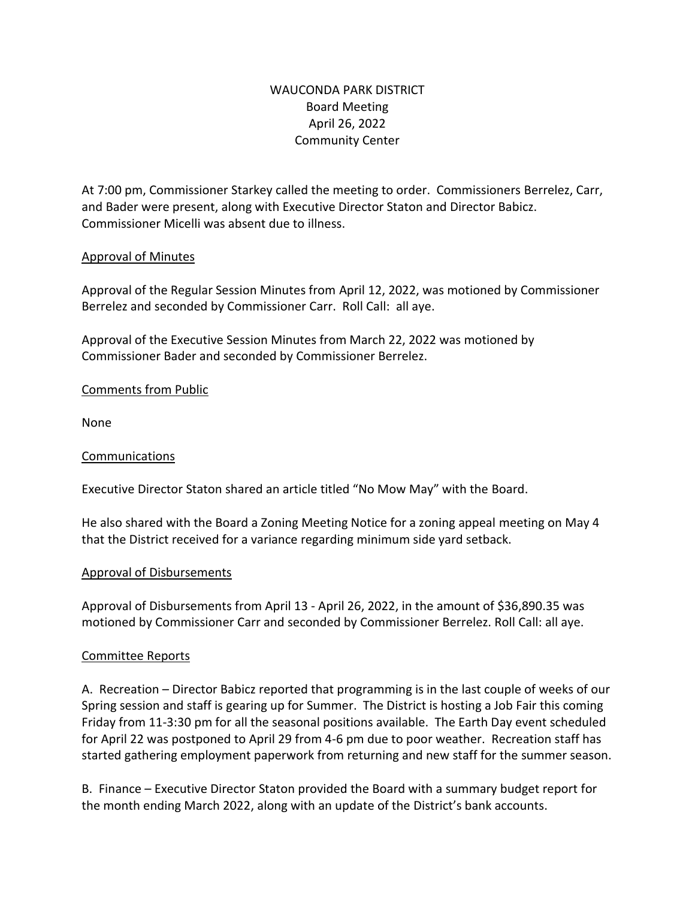## WAUCONDA PARK DISTRICT Board Meeting April 26, 2022 Community Center

At 7:00 pm, Commissioner Starkey called the meeting to order. Commissioners Berrelez, Carr, and Bader were present, along with Executive Director Staton and Director Babicz. Commissioner Micelli was absent due to illness.

### Approval of Minutes

Approval of the Regular Session Minutes from April 12, 2022, was motioned by Commissioner Berrelez and seconded by Commissioner Carr. Roll Call: all aye.

Approval of the Executive Session Minutes from March 22, 2022 was motioned by Commissioner Bader and seconded by Commissioner Berrelez.

### Comments from Public

None

#### Communications

Executive Director Staton shared an article titled "No Mow May" with the Board.

He also shared with the Board a Zoning Meeting Notice for a zoning appeal meeting on May 4 that the District received for a variance regarding minimum side yard setback.

#### Approval of Disbursements

Approval of Disbursements from April 13 - April 26, 2022, in the amount of \$36,890.35 was motioned by Commissioner Carr and seconded by Commissioner Berrelez. Roll Call: all aye.

#### Committee Reports

A. Recreation – Director Babicz reported that programming is in the last couple of weeks of our Spring session and staff is gearing up for Summer. The District is hosting a Job Fair this coming Friday from 11-3:30 pm for all the seasonal positions available. The Earth Day event scheduled for April 22 was postponed to April 29 from 4-6 pm due to poor weather. Recreation staff has started gathering employment paperwork from returning and new staff for the summer season.

B. Finance – Executive Director Staton provided the Board with a summary budget report for the month ending March 2022, along with an update of the District's bank accounts.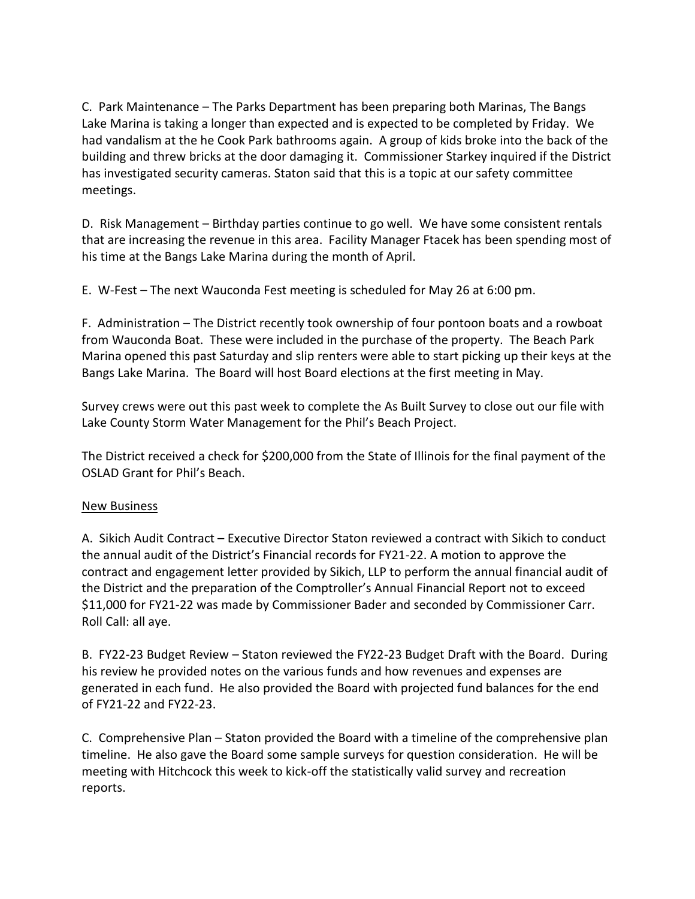C. Park Maintenance – The Parks Department has been preparing both Marinas, The Bangs Lake Marina is taking a longer than expected and is expected to be completed by Friday. We had vandalism at the he Cook Park bathrooms again. A group of kids broke into the back of the building and threw bricks at the door damaging it. Commissioner Starkey inquired if the District has investigated security cameras. Staton said that this is a topic at our safety committee meetings.

D. Risk Management – Birthday parties continue to go well. We have some consistent rentals that are increasing the revenue in this area. Facility Manager Ftacek has been spending most of his time at the Bangs Lake Marina during the month of April.

E. W-Fest – The next Wauconda Fest meeting is scheduled for May 26 at 6:00 pm.

F. Administration – The District recently took ownership of four pontoon boats and a rowboat from Wauconda Boat. These were included in the purchase of the property. The Beach Park Marina opened this past Saturday and slip renters were able to start picking up their keys at the Bangs Lake Marina. The Board will host Board elections at the first meeting in May.

Survey crews were out this past week to complete the As Built Survey to close out our file with Lake County Storm Water Management for the Phil's Beach Project.

The District received a check for \$200,000 from the State of Illinois for the final payment of the OSLAD Grant for Phil's Beach.

## New Business

A. Sikich Audit Contract – Executive Director Staton reviewed a contract with Sikich to conduct the annual audit of the District's Financial records for FY21-22. A motion to approve the contract and engagement letter provided by Sikich, LLP to perform the annual financial audit of the District and the preparation of the Comptroller's Annual Financial Report not to exceed \$11,000 for FY21-22 was made by Commissioner Bader and seconded by Commissioner Carr. Roll Call: all aye.

B. FY22-23 Budget Review – Staton reviewed the FY22-23 Budget Draft with the Board. During his review he provided notes on the various funds and how revenues and expenses are generated in each fund. He also provided the Board with projected fund balances for the end of FY21-22 and FY22-23.

C. Comprehensive Plan – Staton provided the Board with a timeline of the comprehensive plan timeline. He also gave the Board some sample surveys for question consideration. He will be meeting with Hitchcock this week to kick-off the statistically valid survey and recreation reports.